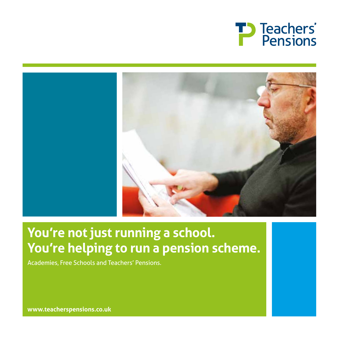



# **You're not just running a school. You're helping to run a pension scheme.**

Academies, Free Schools and Teachers' Pensions.

**www.teacherspensions.co.uk**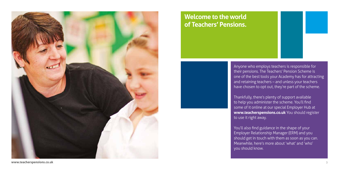**www.teacherspensions.co.uk** 3



Anyone who employs teachers is responsible for their pensions. The Teachers' Pension Scheme is one of the best tools your Academy has for attracting and retaining teachers – and unless your teachers have chosen to opt out, they're part of the scheme.

Thankfully, there's plenty of support available to help you administer the scheme. You'll find some of it online at our special Employer Hub at **www.teacherspensions.co.uk** You should register to use it right away.

You'll also find guidance in the shape of your Employer Relationship Manager (ERM) and you should get in touch with them as soon as you can. Meanwhile, here's more about 'what' and 'who' you should know.



## **Welcome to the world of Teachers' Pensions.**

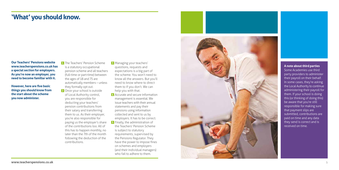**Our Teachers' Pensions website www.teacherspensions.co.uk has a special section for employers. As you're now an employer, you need to become familiar with it.** 

**However, here are five basic things you should know from the start about the scheme you now administer.** 

**1** The Teachers' Pension Scheme is a statutory occupational pension scheme and all teachers (full-time or part-time) between the ages of 18 and 75 are automatically members – unless they formally opt out.

**2** Once your school is outside of Local Authority control, you are responsible for deducting your teachers' pension contributions from their salary and transferring them to us. As their employer, you're also responsible for paying us the employer's share of the contributions too. All of this has to happen monthly, no later than the 7th of the month following the deduction of the contributions.

**3** Managing your teachers' questions, requests and expectations is a big part of the scheme. You won't need to know all the answers. But you'll need to know where to direct them to if you don't. We can help you with that.

**4** Accurate and secure information management is essential. We issue teachers with their annual statements and pay their pensions using information collected and sent to us by employers. It has to be correct. **5** Finally, the administration of

the Teachers' Pension Scheme is subject to statutory requirements, supervised by the Pensions Regulator. They have the power to impose fines on schemes and employers (and their individual managers) who fail to adhere to them.



### **'What' you should know.**

#### **A note about third parties**

Some Academies use third party providers to administer their payroll on their behalf. In some cases, they're asking the Local Authority to continue administering their payroll for them. If your school is doing this (or thinking of doing this) be aware that you're still responsible for making sure that payment slips are submitted, contributions are paid on time and any data they send is correct and is received on time.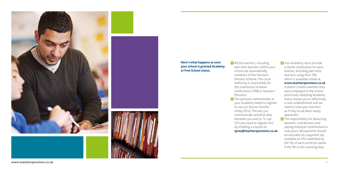**www.teacherspensions.co.uk** 7



#### **Here's what happens as soon your school is granted Academy or Free School status.**

- **1** All the teachers, including part-time teachers within your school are automatically members of the Teachers' Pension Scheme. The Local Authority is responsible for the submission of leaver notifications (TR8) to Teachers' Pensions. **2** The pensions administrator at
- your Academy needs to register to use our Secure Transfer Utility (STU). This lets you communicate sensitive data between you and us. To use STU you need to register first by emailing a request to: **tpstu@teacherspensions.co.uk**

**4** The responsibility for deducting teachers' contributions and paying employer contributions is now yours. All payments should be recorded on a payment slip available on STU submitted by the 7th of each month (or earlier if the 7th is not a working day).

**3** Your Academy must provide a starter notification for each teacher, including part-time teachers using form TR6 which is available online at **www.teacherspensions.co.uk** It doesn't matter whether they were employed at the school previously. Adopting Academy status means you're effectively a new establishment and we need to treat your teachers as if they've all been newly

appointed.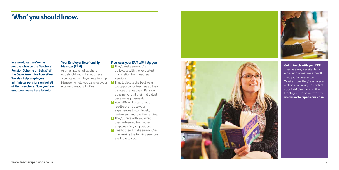

**In a word, 'us'. We're the people who run the Teachers' Pension Scheme on behalf of the Department for Education. We also help employers administer pensions on behalf of their teachers. Now you're an employer we're here to help.** 

### **Your Employer Relationship Manager (ERM)**

As an employer of teachers, you should know that you have a dedicated Employer Relationship Manager to help you carry out your roles and responsibilities.

### **Five ways your ERM will help you**

- **2** They'll discuss the best ways to support your teachers so they can use the Teachers' Pension Scheme to fulfil their individual pension requirements.
- **3** Your ERM will listen to your feedback and use your experiences to continually review and improve the service.
- **4** They'll share with you what they've learned from other employers in your position.
- **5** Finally, they'll make sure you're maximising the training services available to you.



**1** They'll make sure you're up to date with the very latest information from Teachers' Pensions.

### **'Who' you should know.**

**Get in touch with your ERM** They're always available by email and sometimes they'll visit you in person too. What's more, they're only ever a phone call away. To contact your ERM directly, visit the Employer Hub on our website. **www.teacherspensions.co.uk**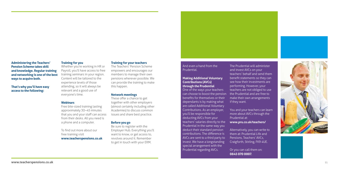



#### **Administering the Teachers' Pension Scheme takes skill and knowledge. Regular training and networking is one of the best ways to acquire both.**

**That's why you'll have easy access to the following:**

#### **Training for you**

Whether you're working in HR or Payroll, you'll have access to free training seminars in your region. Content will be tailored to the experience levels of those attending, so it will always be relevant and a good use of everyone's time.

#### **Webinars**

Free bite-sized training lasting approximately 30–45 minutes that you and your staff can access from their desks. All you need is a phone and a computer.

To find out more about our free training visit **www.teacherspensions.co.uk**

### **Training for your teachers**

The Teachers' Pension Scheme empowers and encourages our members to manage their own pensions wherever possible. We can provide the training to make this happen.

#### **Network meetings**

The Prudential will administer and invest AVCs on your teachers' behalf and send them benefit statements so they can see how their investments are performing. However, your teachers are not obliged to use the Prudential and are free to make their own arrangements if they want.

These offer a chance to get together with other employers (almost certainly including other Academies) to discuss common issues and share best practice.

#### **Before you go**

You and your teachers can learn more about AVCs through the Prudential at:

Be sure to register with the Employer Hub. Everything you'll want to know, or get access to, revolves around it. Remember to get in touch with your ERM.

And even a hand from the Prudential.

#### **Making Additional Voluntary Contributions (AVCs) through the Prudential**

One of the ways your teachers can choose to boost the pension benefits for themselves or their dependants is by making what are called Additional Voluntary Contributions. As an employer, you'll be responsible for deducting AVCs from your teachers' salaries directly to the Prudential in the same way you deduct their standard pension contributions. The difference is AVCs are sent to a third party to invest. We have a longstanding special arrangement with the Prudential regarding AVCs.

**www.pru.co.uk/teachers/**

Alternatively, you can write to them at: Prudential Life and Pensions, Teachers' AVCs, Craigforth, Stirling, FK9 4UE.

Or you can call them on: **0845 070 0007**.